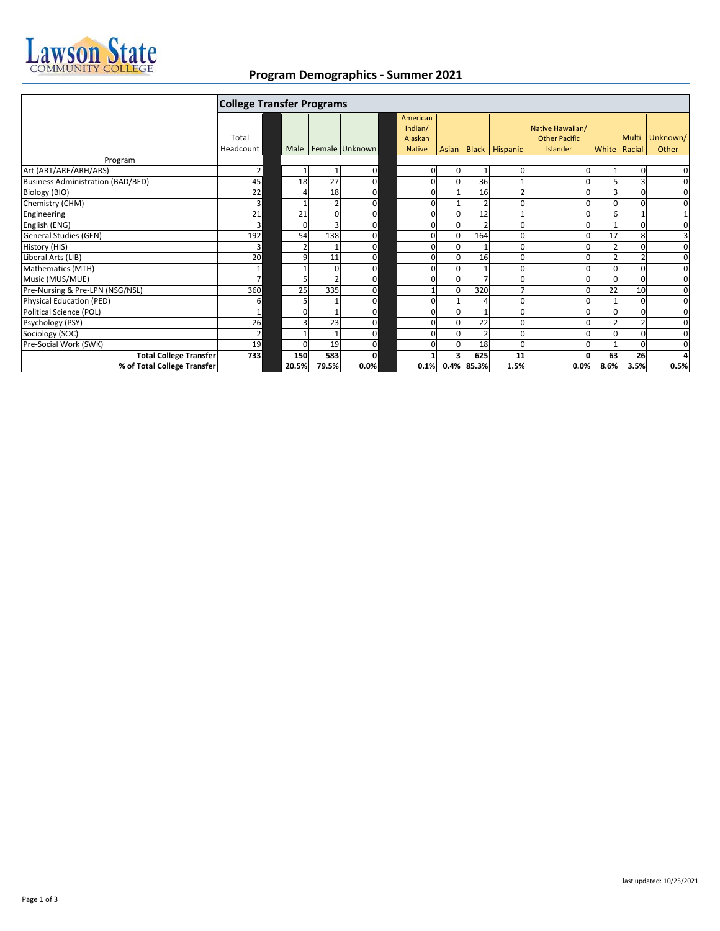

## **Program Demographics - Summer 2021**

|                                          | <b>College Transfer Programs</b> |          |       |                |  |                                |              |                 |                |                                          |                 |          |                 |
|------------------------------------------|----------------------------------|----------|-------|----------------|--|--------------------------------|--------------|-----------------|----------------|------------------------------------------|-----------------|----------|-----------------|
|                                          | Total                            |          |       |                |  | American<br>Indian/<br>Alaskan |              |                 |                | Native Hawaiian/<br><b>Other Pacific</b> |                 |          | Multi- Unknown/ |
|                                          | Headcount                        | Male     |       | Female Unknown |  | <b>Native</b>                  | <b>Asian</b> |                 | Black Hispanic | Islander                                 | White Racial    |          | Other           |
| Program                                  |                                  |          |       |                |  |                                |              |                 |                |                                          |                 |          |                 |
| Art (ART/ARE/ARH/ARS)                    | $\overline{2}$                   |          |       | $\mathbf 0$    |  | $\mathbf 0$                    |              |                 | $\mathbf 0$    |                                          |                 |          | $\mathbf 0$     |
| <b>Business Administration (BAD/BED)</b> | 45                               | 18       | 27    | $\mathbf 0$    |  | $\Omega$                       | <sup>0</sup> | 36              | $\mathbf{1}$   |                                          | 5               | 3        | 0               |
| Biology (BIO)                            | 22                               |          | 18    | $\mathbf 0$    |  | $\Omega$                       |              | 16              | $\overline{2}$ |                                          | 3               | $\Omega$ | $\mathbf 0$     |
| Chemistry (CHM)                          | 3                                |          |       | $\mathbf 0$    |  | $\Omega$                       |              |                 | $\Omega$       |                                          | $\Omega$        |          | 0               |
| Engineering                              | 21                               | 21       |       | $\mathbf 0$    |  | $\Omega$                       |              | 12              |                |                                          | 6               |          | $\mathbf{1}$    |
| English (ENG)                            | 3                                | $\Omega$ |       | $\mathbf 0$    |  | 0                              | $\Omega$     |                 | $\mathbf 0$    | n                                        |                 | $\Omega$ | $\mathbf 0$     |
| General Studies (GEN)                    | 192                              | 54       | 138   | $\mathbf 0$    |  | 0                              | U            | 164             | $\mathbf 0$    |                                          | 17              | 8        | 3               |
| History (HIS)                            | 3                                |          |       | $\mathbf 0$    |  | $\Omega$                       |              |                 | 0              |                                          |                 |          | $\mathbf 0$     |
| Liberal Arts (LIB)                       | 20                               |          | 11    | $\mathbf 0$    |  | $\Omega$                       |              | 16              | $\mathbf 0$    |                                          |                 |          | $\mathbf 0$     |
| Mathematics (MTH)                        | $\mathbf 1$                      |          |       | $\mathbf 0$    |  | $\Omega$                       |              |                 | 0              |                                          | $\Omega$        |          | $\mathbf 0$     |
| Music (MUS/MUE)                          | $\overline{7}$                   |          |       | $\mathbf 0$    |  | $\Omega$                       | n            |                 | $\Omega$       |                                          | $\Omega$        | $\Omega$ | 0               |
| Pre-Nursing & Pre-LPN (NSG/NSL)          | 360                              | 25       | 335   | $\mathbf 0$    |  |                                |              | 320             | $\overline{7}$ |                                          | $\overline{22}$ | 10       | $\mathbf 0$     |
| Physical Education (PED)                 | 6                                |          |       | $\mathbf 0$    |  | $\Omega$                       |              |                 | $\mathbf 0$    |                                          |                 |          | $\mathbf 0$     |
| Political Science (POL)                  | $\mathbf 1$                      |          |       | $\mathbf 0$    |  | 0                              |              |                 | $\mathbf 0$    |                                          | 0               |          | $\mathbf 0$     |
| Psychology (PSY)                         | 26                               |          | 23    | $\mathbf 0$    |  | 0                              | U            | 22              | $\mathbf 0$    |                                          | $\overline{2}$  |          | $\mathbf 0$     |
| Sociology (SOC)                          | $\overline{2}$                   |          |       | $\mathbf 0$    |  | 0                              | $\Omega$     |                 | $\mathbf 0$    |                                          | $\Omega$        |          | $\mathbf 0$     |
| Pre-Social Work (SWK)                    | 19                               |          | 19    | $\mathbf 0$    |  | O                              |              | 18              | $\Omega$       |                                          |                 |          | $\mathbf 0$     |
| <b>Total College Transfer</b>            | 733                              | 150      | 583   | 0              |  |                                |              | 625             | 11             |                                          | 63              | 26       | 4               |
| % of Total College Transfer              |                                  | 20.5%    | 79.5% | 0.0%           |  |                                |              | 0.1% 0.4% 85.3% | 1.5%           | 0.0%                                     | 8.6%            | 3.5%     | 0.5%            |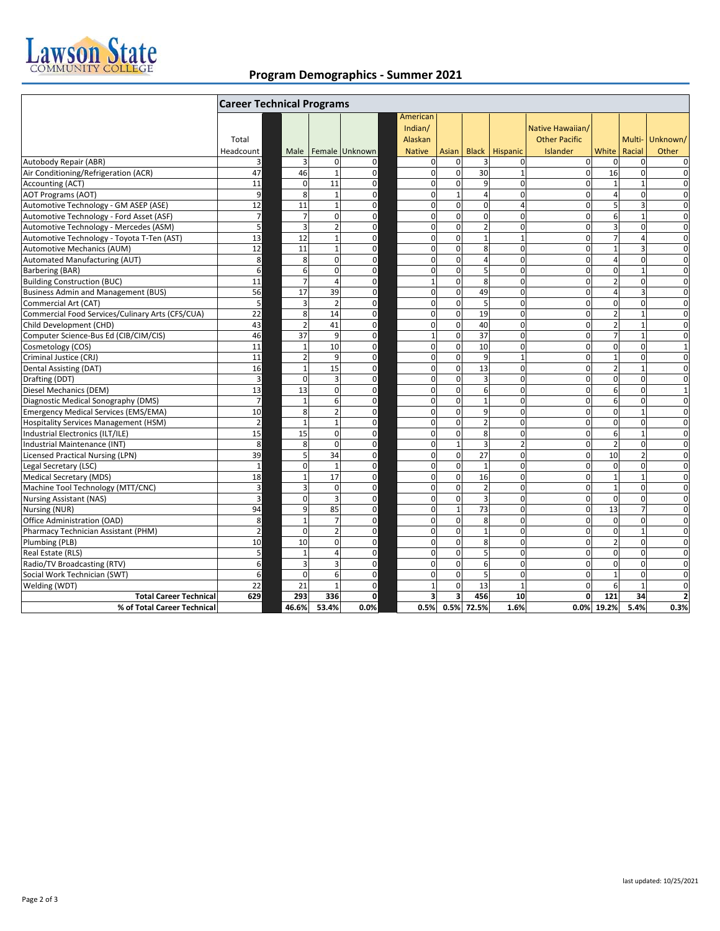

## **Program Demographics - Summer 2021**

|                                                  | <b>Career Technical Programs</b> |                 |                |                |                                                 |                         |                         |                         |                                                      |                |                         |                         |
|--------------------------------------------------|----------------------------------|-----------------|----------------|----------------|-------------------------------------------------|-------------------------|-------------------------|-------------------------|------------------------------------------------------|----------------|-------------------------|-------------------------|
|                                                  | Total<br>Headcount               | Male            |                | Female Unknown | American<br>Indian/<br>Alaskan<br><b>Native</b> | Asian                   |                         | <b>Black   Hispanic</b> | Native Hawaiian/<br><b>Other Pacific</b><br>Islander | White          | Racial                  | Multi-Unknown/<br>Other |
| Autobody Repair (ABR)                            | 3                                |                 | $\Omega$       | 0              | 0                                               | $\Omega$                |                         | $\mathbf 0$             | $\mathbf 0$                                          | $\mathbf 0$    | $\mathbf 0$             | $\mathbf 0$             |
| Air Conditioning/Refrigeration (ACR)             | 47                               | 46              | $\mathbf{1}$   | $\mathbf 0$    | 0                                               | $\mathbf 0$             | 30                      | $\mathbf{1}$            | $\mathbf 0$                                          | 16             | $\mathbf 0$             | $\mathbf 0$             |
| <b>Accounting (ACT)</b>                          | 11                               | $\Omega$        | 11             | $\mathbf 0$    | $\Omega$                                        | $\Omega$                | 9                       | $\Omega$                | $\Omega$                                             |                |                         | $\Omega$                |
| <b>AOT Programs (AOT)</b>                        | 9                                | 8               | $\mathbf{1}$   | $\mathbf 0$    | 0                                               | $\mathbf{1}$            | 4                       | $\mathbf 0$             | $\mathbf 0$                                          | 4              | $\mathbf 0$             | 0                       |
| Automotive Technology - GM ASEP (ASE)            | 12                               | 11              | $\mathbf{1}$   | $\mathbf 0$    | 0                                               | $\mathbf 0$             | $\mathbf 0$             | $\overline{4}$          | $\mathbf 0$                                          | 5              | $\overline{\mathbf{3}}$ | $\mathbf 0$             |
| Automotive Technology - Ford Asset (ASF)         | $\overline{7}$                   |                 | $\Omega$       | $\mathbf 0$    | 0                                               | $\mathbf{0}$            | $\overline{\mathbf{0}}$ | $\mathbf 0$             | $\Omega$                                             | 6              | $\mathbf{1}$            | $\mathbf 0$             |
| Automotive Technology - Mercedes (ASM)           | 5                                | Е               | $\overline{2}$ | 0              | 0                                               | $\mathbf 0$             | $\overline{2}$          | $\mathbf 0$             | $\mathbf{0}$                                         | 3              | $\mathbf 0$             | $\mathbf 0$             |
| Automotive Technology - Toyota T-Ten (AST)       | 13                               | 12              | $\mathbf{1}$   | $\mathbf 0$    | 0                                               | $\mathbf 0$             | $\mathbf{1}$            | $\mathbf{1}$            | $\Omega$                                             | $\overline{7}$ | $\overline{a}$          | $\mathbf 0$             |
| <b>Automotive Mechanics (AUM)</b>                | 12                               | 11              | $\mathbf{1}$   | $\mathbf 0$    | 0                                               | $\mathbf 0$             | 8                       | $\mathbf 0$             | $\mathbf{0}$                                         | $\mathbf{1}$   | $\overline{3}$          | $\mathbf 0$             |
| Automated Manufacturing (AUT)                    | 8                                | 8               | $\Omega$       | $\mathbf 0$    | $\mathbf 0$                                     | $\mathbf 0$             | 4                       | $\mathbf 0$             | $\Omega$                                             | $\overline{4}$ | $\mathbf 0$             | $\mathbf 0$             |
| <b>Barbering (BAR)</b>                           | 6                                | 6               | $\Omega$       | $\mathbf 0$    | 0                                               | $\mathbf 0$             | 5                       | $\Omega$                | 0                                                    | $\Omega$       |                         | $\Omega$                |
| <b>Building Construction (BUC)</b>               | 11                               |                 | 4              | $\mathbf 0$    | $\overline{1}$                                  | $\mathbf 0$             | 8                       | $\mathbf 0$             | 0                                                    | $\overline{2}$ | $\mathbf 0$             | $\mathbf 0$             |
| <b>Business Admin and Management (BUS)</b>       | 56                               | 17              | 39             | $\mathbf 0$    | 0                                               | $\mathbf 0$             | 49                      | $\mathbf 0$             | 0                                                    | $\overline{4}$ | 3                       | $\mathbf 0$             |
| Commercial Art (CAT)                             | 5                                | $\overline{3}$  | $\overline{2}$ | $\mathbf 0$    | $\mathbf 0$                                     | $\mathbf{0}$            | 5                       | $\mathbf{0}$            | $\mathbf{0}$                                         | $\mathbf 0$    | $\mathbf 0$             | $\mathbf 0$             |
| Commercial Food Services/Culinary Arts (CFS/CUA) | 22                               | 8               | 14             | $\mathbf 0$    | 0                                               | $\mathbf{0}$            | 19                      | $\mathbf 0$             | $\mathbf 0$                                          | $\overline{2}$ | $\overline{1}$          | $\mathbf 0$             |
| Child Development (CHD)                          | 43                               | 2               | 41             | 0              | 0                                               | $\mathbf 0$             | 40                      | $\mathbf 0$             | $\mathbf{0}$                                         | $\overline{2}$ | $\mathbf{1}$            | $\mathbf 0$             |
| Computer Science-Bus Ed (CIB/CIM/CIS)            | 46                               | $\overline{37}$ | $\overline{9}$ | $\mathbf 0$    | $\overline{1}$                                  | $\mathbf 0$             | $\overline{37}$         | $\mathbf 0$             | 0                                                    | $\overline{7}$ | $\overline{1}$          | $\mathbf 0$             |
| Cosmetology (COS)                                | 11                               | $\mathbf{1}$    | 10             | $\mathbf 0$    | 0                                               | $\mathbf 0$             | 10                      | $\mathbf 0$             | $\mathbf 0$                                          | $\mathbf 0$    | $\mathbf 0$             | $\mathbf{1}$            |
| Criminal Justice (CRJ)                           | 11                               |                 | $\mathbf{q}$   | $\mathbf 0$    | $\mathbf 0$                                     | $\Omega$                | 9                       | $\mathbf{1}$            | 0                                                    | $\overline{1}$ | $\Omega$                | $\Omega$                |
| Dental Assisting (DAT)                           | 16                               | $\overline{1}$  | 15             | $\mathbf 0$    | 0                                               | $\mathbf 0$             | 13                      | $\mathbf 0$             | $\mathbf 0$                                          | $\overline{2}$ | $\overline{1}$          | $\mathbf 0$             |
| Drafting (DDT)                                   | 3                                | $\Omega$        | $\overline{3}$ | 0              | 0                                               | $\mathbf 0$             | 3                       | $\pmb{0}$               | $\mathbf 0$                                          | $\mathbf 0$    | $\mathbf 0$             | $\mathbf 0$             |
| Diesel Mechanics (DEM)                           | 13                               | 13              | $\Omega$       | $\mathbf 0$    | $\overline{\mathbf{0}}$                         | $\mathbf{0}$            | 6                       | $\overline{0}$          | $\overline{0}$                                       | 6              | $\mathbf 0$             | $\mathbf{1}$            |
| Diagnostic Medical Sonography (DMS)              | $\overline{7}$                   | $\overline{1}$  | 6              | 0              | $\mathbf 0$                                     | $\mathbf 0$             | $\mathbf{1}$            | $\mathbf 0$             | $\mathbf{0}$                                         | 6              | $\mathbf 0$             | $\mathbf 0$             |
| <b>Emergency Medical Services (EMS/EMA)</b>      | 10                               | 8               | $\overline{2}$ | 0              | 0                                               | $\mathbf 0$             | 9                       | $\mathbf 0$             | $\mathbf 0$                                          | $\mathbf 0$    | $\mathbf{1}$            | $\mathbf 0$             |
| <b>Hospitality Services Management (HSM)</b>     | $\overline{2}$                   | $\mathbf{1}$    | $\mathbf{1}$   | 0              | 0                                               | $\mathbf 0$             | $\overline{2}$          | $\mathbf 0$             | 0                                                    | $\mathbf 0$    | $\mathbf 0$             | $\mathbf 0$             |
| Industrial Electronics (ILT/ILE)                 | 15                               | 15              | $\Omega$       | $\mathbf 0$    | $\mathbf 0$                                     | $\mathbf 0$             | 8                       | $\mathbf 0$             | 0                                                    | 6              | $\overline{1}$          | $\mathbf 0$             |
| Industrial Maintenance (INT)                     | 8                                | 8               | $\Omega$       | $\mathbf 0$    | $\mathbf 0$                                     | $\mathbf{1}$            | 3                       | $\overline{2}$          | $\Omega$                                             | $\overline{2}$ | $\Omega$                | $\mathbf 0$             |
| <b>Licensed Practical Nursing (LPN)</b>          | 39                               | 5               | 34             | $\mathbf 0$    | 0                                               | $\mathbf 0$             | $\overline{27}$         | $\mathbf 0$             | $\mathbf 0$                                          | 10             | $\overline{2}$          | $\mathbf 0$             |
| Legal Secretary (LSC)                            | $\mathbf{1}$                     | $\Omega$        | $\mathbf{1}$   | 0              | 0                                               | $\mathbf 0$             | $\mathbf{1}$            | $\mathbf 0$             | $\mathbf 0$                                          | $\mathbf 0$    | $\mathbf 0$             | $\mathbf 0$             |
| Medical Secretary (MDS)                          | 18                               | $\mathbf{1}$    | 17             | $\mathbf 0$    | 0                                               | $\mathbf{0}$            | 16                      | $\mathbf 0$             | $\mathbf{0}$                                         | $\mathbf{1}$   | $\overline{1}$          | $\mathbf 0$             |
| Machine Tool Technology (MTT/CNC)                | $\mathbf{3}$                     | З               | $\mathbf 0$    | $\mathbf 0$    | $\mathbf 0$                                     | $\mathbf 0$             | $\overline{2}$          | $\mathbf 0$             | $\mathbf 0$                                          | $\mathbf{1}$   | $\mathbf 0$             | $\mathbf 0$             |
| <b>Nursing Assistant (NAS)</b>                   | 3                                | <sup>0</sup>    | 3              | $\mathbf 0$    | 0                                               | $\mathbf 0$             | 3                       | $\mathbf 0$             | $\mathbf{0}$                                         | $\mathbf 0$    | $\mathbf 0$             | $\mathbf 0$             |
| Nursing (NUR)                                    | 94                               | q               | 85             | $\mathbf 0$    | $\mathbf 0$                                     | $\mathbf{1}$            | 73                      | $\mathbf 0$             | $\mathbf 0$                                          | 13             | $\overline{7}$          | $\mathbf 0$             |
| Office Administration (OAD)                      | 8                                | $\overline{1}$  | $\overline{7}$ | $\mathbf 0$    | 0                                               | $\mathbf 0$             | 8                       | $\mathbf 0$             | $\mathbf 0$                                          | $\mathbf 0$    | $\mathbf 0$             | $\mathbf 0$             |
| Pharmacy Technician Assistant (PHM)              | $\overline{2}$                   | $\Omega$        | $\overline{2}$ | $\mathbf 0$    | 0                                               | $\Omega$                | $\mathbf{1}$            | $\Omega$                | $\Omega$                                             | $\mathbf 0$    | $\overline{1}$          | $\Omega$                |
| Plumbing (PLB)                                   | 10                               | 10              | $\mathbf 0$    | $\mathbf 0$    | 0                                               | $\mathbf 0$             | 8                       | $\mathbf 0$             | $\mathbf 0$                                          | $\overline{2}$ | $\mathbf 0$             | $\mathbf 0$             |
| Real Estate (RLS)                                | 5                                | $\overline{1}$  | $\overline{a}$ | 0              | 0                                               | $\mathbf 0$             | 5                       | $\pmb{0}$               | $\overline{0}$                                       | $\mathbf 0$    | $\mathbf 0$             | $\mathbf 0$             |
| Radio/TV Broadcasting (RTV)                      | 6                                | 3               | 3              | $\mathbf 0$    | $\mathbf 0$                                     | $\mathbf{0}$            | 6                       | $\mathbf 0$             | $\Omega$                                             | $\mathbf 0$    | $\mathbf 0$             | $\mathbf 0$             |
| Social Work Technician (SWT)                     | 6                                | $\Omega$        | 6              | 0              | 0                                               | $\mathbf 0$             | 5                       | $\pmb{0}$               | $\mathbf 0$                                          | $\mathbf{1}$   | $\mathbf 0$             | 0                       |
| Welding (WDT)                                    | 22                               | 21              | 1              | $\mathbf 0$    | $\mathbf{1}$                                    | $\Omega$                | 13                      | $\mathbf{1}$            | $\Omega$                                             | 6              | $\overline{1}$          | $\mathbf 0$             |
| <b>Total Career Technical</b>                    | 629                              | 293             | 336            | 0              | 3                                               | $\overline{\mathbf{3}}$ | 456                     | 10                      | 0                                                    | 121            | 34                      | $\overline{2}$          |
| % of Total Career Technical                      |                                  | 46.6%           | 53.4%          | 0.0%           | 0.5%                                            |                         | 0.5% 72.5%              | 1.6%                    |                                                      | 0.0% 19.2%     | 5.4%                    | 0.3%                    |